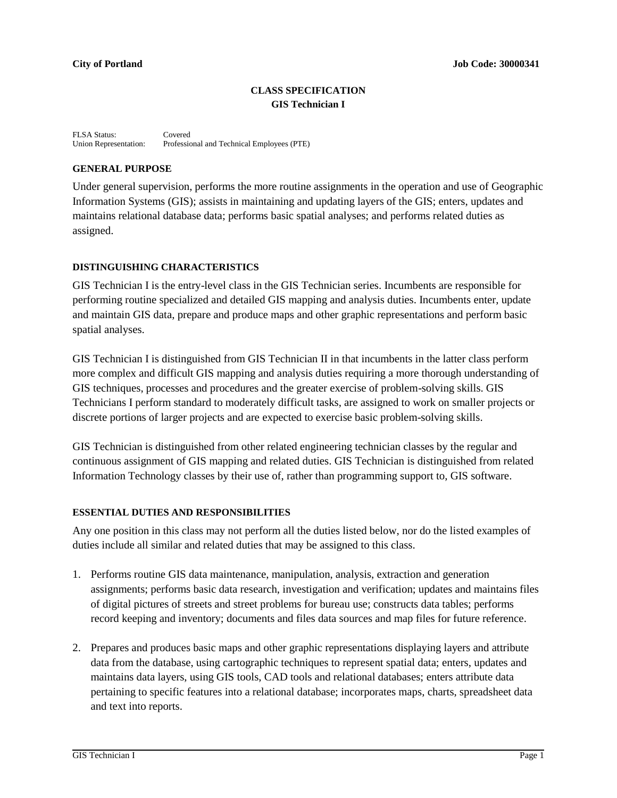# **CLASS SPECIFICATION GIS Technician I**

FLSA Status: Covered<br>Union Representation: Professie Professional and Technical Employees (PTE)

# **GENERAL PURPOSE**

Under general supervision, performs the more routine assignments in the operation and use of Geographic Information Systems (GIS); assists in maintaining and updating layers of the GIS; enters, updates and maintains relational database data; performs basic spatial analyses; and performs related duties as assigned.

# **DISTINGUISHING CHARACTERISTICS**

GIS Technician I is the entry-level class in the GIS Technician series. Incumbents are responsible for performing routine specialized and detailed GIS mapping and analysis duties. Incumbents enter, update and maintain GIS data, prepare and produce maps and other graphic representations and perform basic spatial analyses.

GIS Technician I is distinguished from GIS Technician II in that incumbents in the latter class perform more complex and difficult GIS mapping and analysis duties requiring a more thorough understanding of GIS techniques, processes and procedures and the greater exercise of problem-solving skills. GIS Technicians I perform standard to moderately difficult tasks, are assigned to work on smaller projects or discrete portions of larger projects and are expected to exercise basic problem-solving skills.

GIS Technician is distinguished from other related engineering technician classes by the regular and continuous assignment of GIS mapping and related duties. GIS Technician is distinguished from related Information Technology classes by their use of, rather than programming support to, GIS software.

## **ESSENTIAL DUTIES AND RESPONSIBILITIES**

Any one position in this class may not perform all the duties listed below, nor do the listed examples of duties include all similar and related duties that may be assigned to this class.

- 1. Performs routine GIS data maintenance, manipulation, analysis, extraction and generation assignments; performs basic data research, investigation and verification; updates and maintains files of digital pictures of streets and street problems for bureau use; constructs data tables; performs record keeping and inventory; documents and files data sources and map files for future reference.
- 2. Prepares and produces basic maps and other graphic representations displaying layers and attribute data from the database, using cartographic techniques to represent spatial data; enters, updates and maintains data layers, using GIS tools, CAD tools and relational databases; enters attribute data pertaining to specific features into a relational database; incorporates maps, charts, spreadsheet data and text into reports.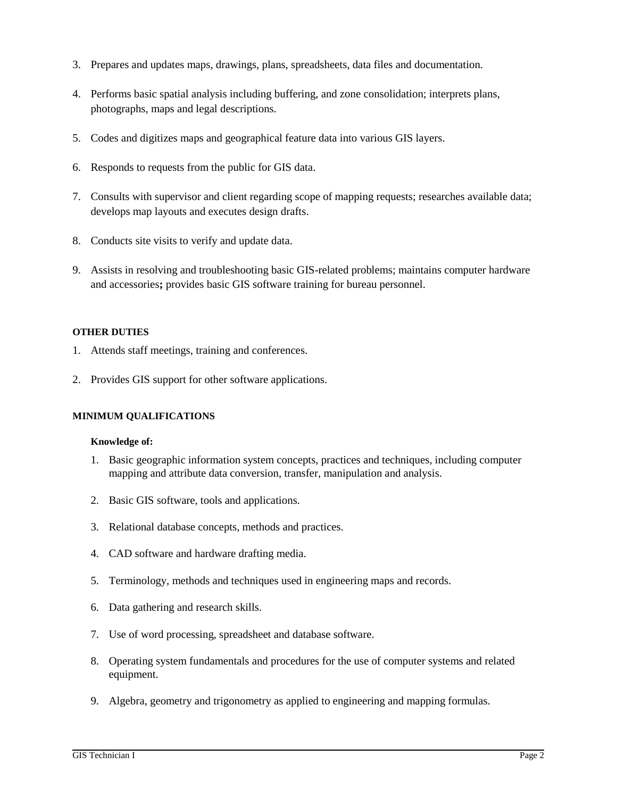- 3. Prepares and updates maps, drawings, plans, spreadsheets, data files and documentation.
- 4. Performs basic spatial analysis including buffering, and zone consolidation; interprets plans, photographs, maps and legal descriptions.
- 5. Codes and digitizes maps and geographical feature data into various GIS layers.
- 6. Responds to requests from the public for GIS data.
- 7. Consults with supervisor and client regarding scope of mapping requests; researches available data; develops map layouts and executes design drafts.
- 8. Conducts site visits to verify and update data.
- 9. Assists in resolving and troubleshooting basic GIS-related problems; maintains computer hardware and accessories**;** provides basic GIS software training for bureau personnel.

### **OTHER DUTIES**

- 1. Attends staff meetings, training and conferences.
- 2. Provides GIS support for other software applications.

## **MINIMUM QUALIFICATIONS**

#### **Knowledge of:**

- 1. Basic geographic information system concepts, practices and techniques, including computer mapping and attribute data conversion, transfer, manipulation and analysis.
- 2. Basic GIS software, tools and applications.
- 3. Relational database concepts, methods and practices.
- 4. CAD software and hardware drafting media.
- 5. Terminology, methods and techniques used in engineering maps and records.
- 6. Data gathering and research skills.
- 7. Use of word processing, spreadsheet and database software.
- 8. Operating system fundamentals and procedures for the use of computer systems and related equipment.
- 9. Algebra, geometry and trigonometry as applied to engineering and mapping formulas.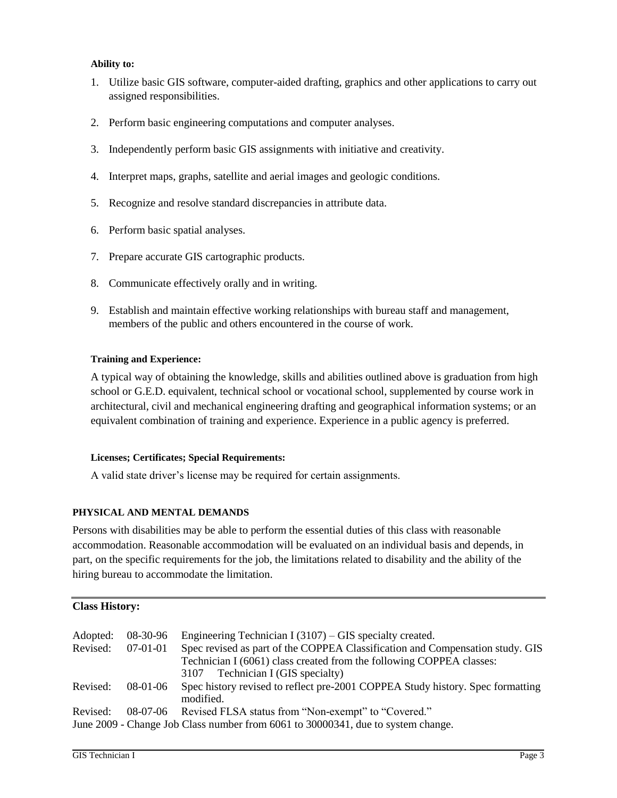# **Ability to:**

- 1. Utilize basic GIS software, computer-aided drafting, graphics and other applications to carry out assigned responsibilities.
- 2. Perform basic engineering computations and computer analyses.
- 3. Independently perform basic GIS assignments with initiative and creativity.
- 4. Interpret maps, graphs, satellite and aerial images and geologic conditions.
- 5. Recognize and resolve standard discrepancies in attribute data.
- 6. Perform basic spatial analyses.
- 7. Prepare accurate GIS cartographic products.
- 8. Communicate effectively orally and in writing.
- 9. Establish and maintain effective working relationships with bureau staff and management, members of the public and others encountered in the course of work.

### **Training and Experience:**

A typical way of obtaining the knowledge, skills and abilities outlined above is graduation from high school or G.E.D. equivalent, technical school or vocational school, supplemented by course work in architectural, civil and mechanical engineering drafting and geographical information systems; or an equivalent combination of training and experience. Experience in a public agency is preferred.

#### **Licenses; Certificates; Special Requirements:**

A valid state driver's license may be required for certain assignments.

## **PHYSICAL AND MENTAL DEMANDS**

Persons with disabilities may be able to perform the essential duties of this class with reasonable accommodation. Reasonable accommodation will be evaluated on an individual basis and depends, in part, on the specific requirements for the job, the limitations related to disability and the ability of the hiring bureau to accommodate the limitation.

## **Class History:**

| Adopted:<br>Revised: | 08-30-96<br>$07-01-01$ | Engineering Technician I (3107) – GIS specialty created.<br>Spec revised as part of the COPPEA Classification and Compensation study. GIS<br>Technician I (6061) class created from the following COPPEA classes:<br>3107 Technician I (GIS specialty) |
|----------------------|------------------------|--------------------------------------------------------------------------------------------------------------------------------------------------------------------------------------------------------------------------------------------------------|
| Revised:             | 08-01-06               | Spec history revised to reflect pre-2001 COPPEA Study history. Spec formatting<br>modified.                                                                                                                                                            |
| Revised:             |                        | 08-07-06 Revised FLSA status from "Non-exempt" to "Covered."<br>June 2009 - Change Job Class number from 6061 to 30000341, due to system change.                                                                                                       |